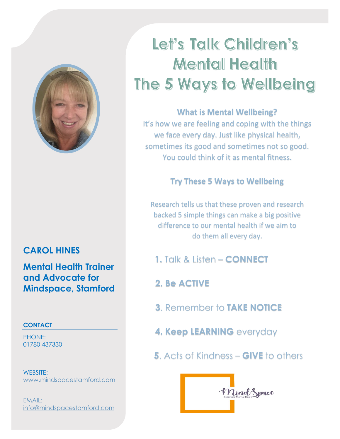

## **CAROL HINES**

**Mental Health Trainer and Advocate for Mindspace, Stamford**

### **CONTACT**

PHONE: 01780 437330

WEBSITE: [www.mindspacestamford.com](http://www.mindspacestamford.com/)

EMAIL: [info@mindspacestamford.com](mailto:info@mindspacestamford.com)

# Let's Talk Children's **Mental Health** The 5 Ways to Wellbeing

## **What is Mental Wellbeing?**

It's how we are feeling and coping with the things we face every day. Just like physical health, sometimes its good and sometimes not so good. You could think of it as mental fitness.

## **Try These 5 Ways to Wellbeing**

Research tells us that these proven and research backed 5 simple things can make a big positive difference to our mental health if we aim to do them all every day.

- **1.** Talk & Listen **CONNECT**
- **2. Be ACTIVE**
- **3**. Remember to **TAKE NOTICE**
- **4. Keep LEARNING** everyday
- **5**. Acts of Kindness **GIVE** to others